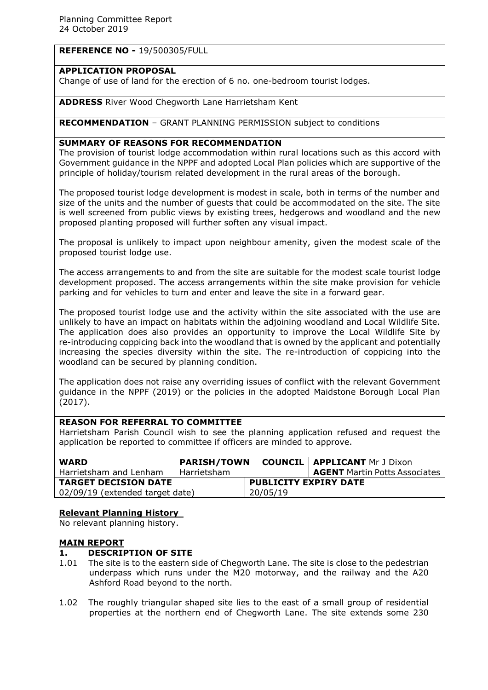# **REFERENCE NO -** 19/500305/FULL

# **APPLICATION PROPOSAL**

Change of use of land for the erection of 6 no. one-bedroom tourist lodges.

## **ADDRESS** River Wood Chegworth Lane Harrietsham Kent

## **RECOMMENDATION** – GRANT PLANNING PERMISSION subject to conditions

## **SUMMARY OF REASONS FOR RECOMMENDATION**

The provision of tourist lodge accommodation within rural locations such as this accord with Government guidance in the NPPF and adopted Local Plan policies which are supportive of the principle of holiday/tourism related development in the rural areas of the borough.

The proposed tourist lodge development is modest in scale, both in terms of the number and size of the units and the number of guests that could be accommodated on the site. The site is well screened from public views by existing trees, hedgerows and woodland and the new proposed planting proposed will further soften any visual impact.

The proposal is unlikely to impact upon neighbour amenity, given the modest scale of the proposed tourist lodge use.

The access arrangements to and from the site are suitable for the modest scale tourist lodge development proposed. The access arrangements within the site make provision for vehicle parking and for vehicles to turn and enter and leave the site in a forward gear.

The proposed tourist lodge use and the activity within the site associated with the use are unlikely to have an impact on habitats within the adjoining woodland and Local Wildlife Site. The application does also provides an opportunity to improve the Local Wildlife Site by re-introducing coppicing back into the woodland that is owned by the applicant and potentially increasing the species diversity within the site. The re-introduction of coppicing into the woodland can be secured by planning condition.

The application does not raise any overriding issues of conflict with the relevant Government guidance in the NPPF (2019) or the policies in the adopted Maidstone Borough Local Plan (2017).

# **REASON FOR REFERRAL TO COMMITTEE**

Harrietsham Parish Council wish to see the planning application refused and request the application be reported to committee if officers are minded to approve.

| <b>WARD</b>                     | <b>PARISH/TOWN</b> |                              | <b>COUNCIL   APPLICANT Mr J Dixon</b> |
|---------------------------------|--------------------|------------------------------|---------------------------------------|
| Harrietsham and Lenham          | Harrietsham        |                              | <b>AGENT</b> Martin Potts Associates  |
| <b>TARGET DECISION DATE</b>     |                    | <b>PUBLICITY EXPIRY DATE</b> |                                       |
| 02/09/19 (extended target date) |                    | 20/05/19                     |                                       |

## **Relevant Planning History**

No relevant planning history.

## **MAIN REPORT**

# **1. DESCRIPTION OF SITE**

- 1.01 The site is to the eastern side of Chegworth Lane. The site is close to the pedestrian underpass which runs under the M20 motorway, and the railway and the A20 Ashford Road beyond to the north.
- 1.02 The roughly triangular shaped site lies to the east of a small group of residential properties at the northern end of Chegworth Lane. The site extends some 230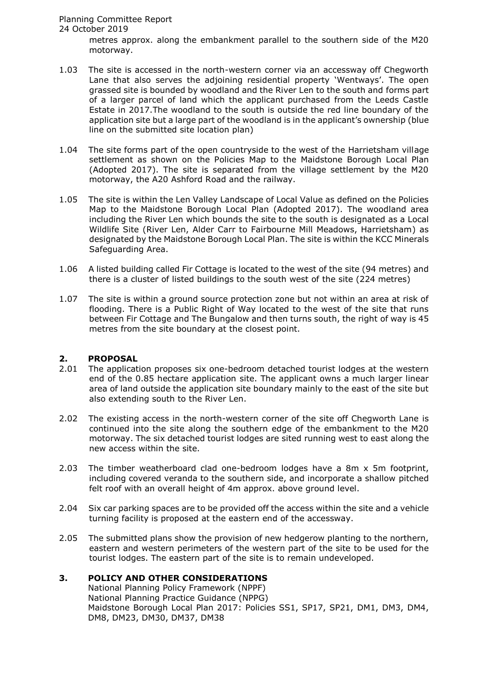metres approx. along the embankment parallel to the southern side of the M20 motorway.

- 1.03 The site is accessed in the north-western corner via an accessway off Chegworth Lane that also serves the adjoining residential property 'Wentways'. The open grassed site is bounded by woodland and the River Len to the south and forms part of a larger parcel of land which the applicant purchased from the Leeds Castle Estate in 2017.The woodland to the south is outside the red line boundary of the application site but a large part of the woodland is in the applicant's ownership (blue line on the submitted site location plan)
- 1.04 The site forms part of the open countryside to the west of the Harrietsham village settlement as shown on the Policies Map to the Maidstone Borough Local Plan (Adopted 2017). The site is separated from the village settlement by the M20 motorway, the A20 Ashford Road and the railway.
- 1.05 The site is within the Len Valley Landscape of Local Value as defined on the Policies Map to the Maidstone Borough Local Plan (Adopted 2017). The woodland area including the River Len which bounds the site to the south is designated as a Local Wildlife Site (River Len, Alder Carr to Fairbourne Mill Meadows, Harrietsham) as designated by the Maidstone Borough Local Plan. The site is within the KCC Minerals Safeguarding Area.
- 1.06 A listed building called Fir Cottage is located to the west of the site (94 metres) and there is a cluster of listed buildings to the south west of the site (224 metres)
- 1.07 The site is within a ground source protection zone but not within an area at risk of flooding. There is a Public Right of Way located to the west of the site that runs between Fir Cottage and The Bungalow and then turns south, the right of way is 45 metres from the site boundary at the closest point.

# **2. PROPOSAL**

- 2.01 The application proposes six one-bedroom detached tourist lodges at the western end of the 0.85 hectare application site. The applicant owns a much larger linear area of land outside the application site boundary mainly to the east of the site but also extending south to the River Len.
- 2.02 The existing access in the north-western corner of the site off Chegworth Lane is continued into the site along the southern edge of the embankment to the M20 motorway. The six detached tourist lodges are sited running west to east along the new access within the site.
- 2.03 The timber weatherboard clad one-bedroom lodges have a 8m x 5m footprint, including covered veranda to the southern side, and incorporate a shallow pitched felt roof with an overall height of 4m approx. above ground level.
- 2.04 Six car parking spaces are to be provided off the access within the site and a vehicle turning facility is proposed at the eastern end of the accessway.
- 2.05 The submitted plans show the provision of new hedgerow planting to the northern, eastern and western perimeters of the western part of the site to be used for the tourist lodges. The eastern part of the site is to remain undeveloped.

# **3. POLICY AND OTHER CONSIDERATIONS**

National Planning Policy Framework (NPPF) National Planning Practice Guidance (NPPG) Maidstone Borough Local Plan 2017: Policies SS1, SP17, SP21, DM1, DM3, DM4, DM8, DM23, DM30, DM37, DM38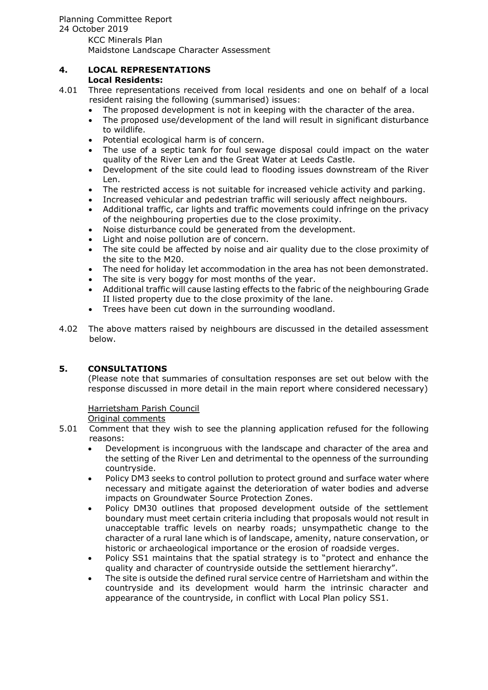# **4. LOCAL REPRESENTATIONS**

# **Local Residents:**

- 4.01 Three representations received from local residents and one on behalf of a local resident raising the following (summarised) issues:
	- The proposed development is not in keeping with the character of the area.
	- The proposed use/development of the land will result in significant disturbance to wildlife.
	- Potential ecological harm is of concern.
	- The use of a septic tank for foul sewage disposal could impact on the water quality of the River Len and the Great Water at Leeds Castle.
	- Development of the site could lead to flooding issues downstream of the River Len.
	- The restricted access is not suitable for increased vehicle activity and parking.
	- Increased vehicular and pedestrian traffic will seriously affect neighbours.
	- Additional traffic, car lights and traffic movements could infringe on the privacy of the neighbouring properties due to the close proximity.
	- Noise disturbance could be generated from the development.
	- Light and noise pollution are of concern.
	- The site could be affected by noise and air quality due to the close proximity of the site to the M20.
	- The need for holiday let accommodation in the area has not been demonstrated.
	- The site is very boggy for most months of the year.
	- Additional traffic will cause lasting effects to the fabric of the neighbouring Grade II listed property due to the close proximity of the lane.
	- Trees have been cut down in the surrounding woodland.
- 4.02 The above matters raised by neighbours are discussed in the detailed assessment below.

# **5. CONSULTATIONS**

(Please note that summaries of consultation responses are set out below with the response discussed in more detail in the main report where considered necessary)

## Harrietsham Parish Council

Original comments

- 5.01 Comment that they wish to see the planning application refused for the following reasons:
	- Development is incongruous with the landscape and character of the area and the setting of the River Len and detrimental to the openness of the surrounding countryside.
	- Policy DM3 seeks to control pollution to protect ground and surface water where necessary and mitigate against the deterioration of water bodies and adverse impacts on Groundwater Source Protection Zones.
	- Policy DM30 outlines that proposed development outside of the settlement boundary must meet certain criteria including that proposals would not result in unacceptable traffic levels on nearby roads; unsympathetic change to the character of a rural lane which is of landscape, amenity, nature conservation, or historic or archaeological importance or the erosion of roadside verges.
	- Policy SS1 maintains that the spatial strategy is to "protect and enhance the quality and character of countryside outside the settlement hierarchy".
	- The site is outside the defined rural service centre of Harrietsham and within the countryside and its development would harm the intrinsic character and appearance of the countryside, in conflict with Local Plan policy SS1.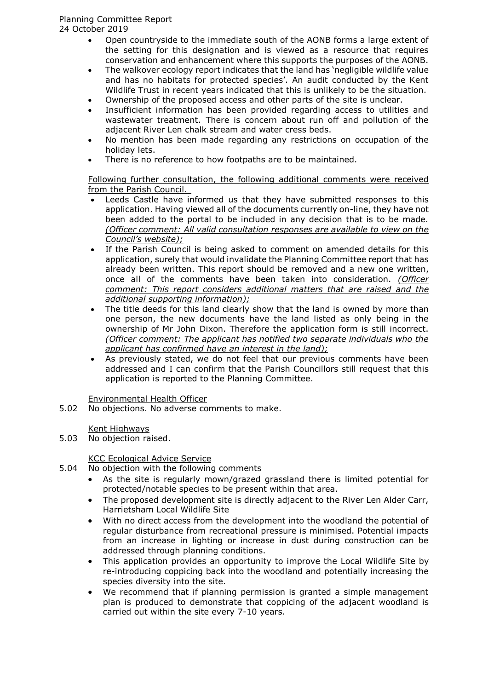Open countryside to the immediate south of the AONB forms a large extent of the setting for this designation and is viewed as a resource that requires conservation and enhancement where this supports the purposes of the AONB.

- The walkover ecology report indicates that the land has 'negligible wildlife value and has no habitats for protected species'. An audit conducted by the Kent Wildlife Trust in recent years indicated that this is unlikely to be the situation.
- Ownership of the proposed access and other parts of the site is unclear.
- Insufficient information has been provided regarding access to utilities and wastewater treatment. There is concern about run off and pollution of the adjacent River Len chalk stream and water cress beds.
- No mention has been made regarding any restrictions on occupation of the holiday lets.
- There is no reference to how footpaths are to be maintained.

Following further consultation, the following additional comments were received from the Parish Council.

- Leeds Castle have informed us that they have submitted responses to this application. Having viewed all of the documents currently on-line, they have not been added to the portal to be included in any decision that is to be made. *(Officer comment: All valid consultation responses are available to view on the Council's website);*
- If the Parish Council is being asked to comment on amended details for this application, surely that would invalidate the Planning Committee report that has already been written. This report should be removed and a new one written, once all of the comments have been taken into consideration. *(Officer comment: This report considers additional matters that are raised and the additional supporting information);*
- The title deeds for this land clearly show that the land is owned by more than one person, the new documents have the land listed as only being in the ownership of Mr John Dixon. Therefore the application form is still incorrect. *(Officer comment: The applicant has notified two separate individuals who the applicant has confirmed have an interest in the land);*
- As previously stated, we do not feel that our previous comments have been addressed and I can confirm that the Parish Councillors still request that this application is reported to the Planning Committee.

Environmental Health Officer

5.02 No objections. No adverse comments to make.

Kent Highways

5.03 No objection raised.

# KCC Ecological Advice Service

- 5.04 No objection with the following comments
	- As the site is regularly mown/grazed grassland there is limited potential for protected/notable species to be present within that area.
	- The proposed development site is directly adjacent to the River Len Alder Carr, Harrietsham Local Wildlife Site
	- With no direct access from the development into the woodland the potential of regular disturbance from recreational pressure is minimised. Potential impacts from an increase in lighting or increase in dust during construction can be addressed through planning conditions.
	- This application provides an opportunity to improve the Local Wildlife Site by re-introducing coppicing back into the woodland and potentially increasing the species diversity into the site.
	- We recommend that if planning permission is granted a simple management plan is produced to demonstrate that coppicing of the adjacent woodland is carried out within the site every 7-10 years.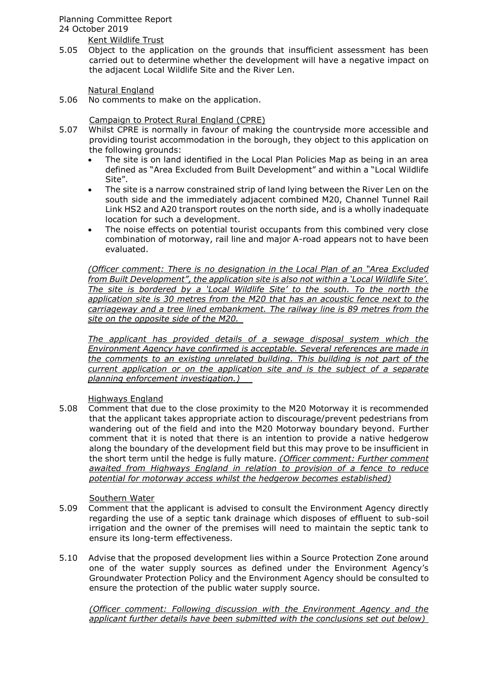Kent Wildlife Trust

5.05 Object to the application on the grounds that insufficient assessment has been carried out to determine whether the development will have a negative impact on the adjacent Local Wildlife Site and the River Len.

Natural England

5.06 No comments to make on the application.

Campaign to Protect Rural England (CPRE)

- 5.07 Whilst CPRE is normally in favour of making the countryside more accessible and providing tourist accommodation in the borough, they object to this application on the following grounds:
	- The site is on land identified in the Local Plan Policies Map as being in an area defined as "Area Excluded from Built Development" and within a "Local Wildlife Site".
	- The site is a narrow constrained strip of land lying between the River Len on the south side and the immediately adjacent combined M20, Channel Tunnel Rail Link HS2 and A20 transport routes on the north side, and is a wholly inadequate location for such a development.
	- The noise effects on potential tourist occupants from this combined very close combination of motorway, rail line and major A-road appears not to have been evaluated.

*(Officer comment: There is no designation in the Local Plan of an "Area Excluded from Built Development", the application site is also not within a 'Local Wildlife Site'. The site is bordered by a 'Local Wildlife Site' to the south. To the north the application site is 30 metres from the M20 that has an acoustic fence next to the carriageway and a tree lined embankment. The railway line is 89 metres from the site on the opposite side of the M20.* 

*The applicant has provided details of a sewage disposal system which the Environment Agency have confirmed is acceptable. Several references are made in the comments to an existing unrelated building. This building is not part of the current application or on the application site and is the subject of a separate planning enforcement investigation.)* 

Highways England

5.08 Comment that due to the close proximity to the M20 Motorway it is recommended that the applicant takes appropriate action to discourage/prevent pedestrians from wandering out of the field and into the M20 Motorway boundary beyond. Further comment that it is noted that there is an intention to provide a native hedgerow along the boundary of the development field but this may prove to be insufficient in the short term until the hedge is fully mature. *(Officer comment: Further comment awaited from Highways England in relation to provision of a fence to reduce potential for motorway access whilst the hedgerow becomes established)*

# Southern Water

- 5.09 Comment that the applicant is advised to consult the Environment Agency directly regarding the use of a septic tank drainage which disposes of effluent to sub-soil irrigation and the owner of the premises will need to maintain the septic tank to ensure its long-term effectiveness.
- 5.10 Advise that the proposed development lies within a Source Protection Zone around one of the water supply sources as defined under the Environment Agency's Groundwater Protection Policy and the Environment Agency should be consulted to ensure the protection of the public water supply source.

*(Officer comment: Following discussion with the Environment Agency and the applicant further details have been submitted with the conclusions set out below)*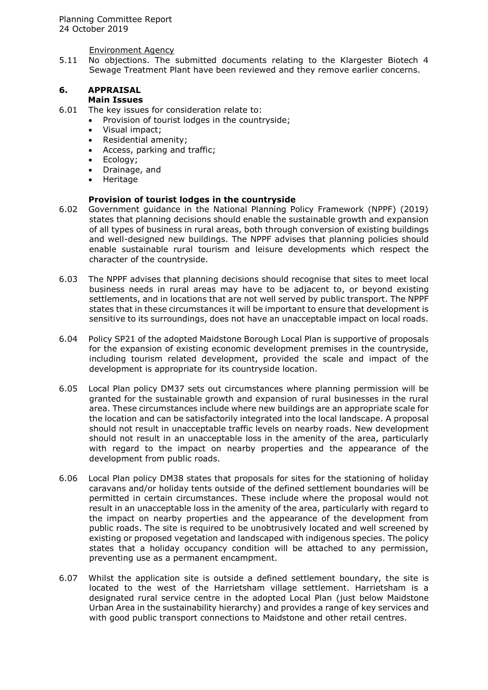Environment Agency

5.11 No objections. The submitted documents relating to the Klargester Biotech 4 Sewage Treatment Plant have been reviewed and they remove earlier concerns.

#### **6. APPRAISAL Main Issues**

# 6.01 The key issues for consideration relate to:

- Provision of tourist lodges in the countryside;
- Visual impact;
- Residential amenity;
- Access, parking and traffic;
- Ecology;<br>• Drainage
- Drainage, and
- Heritage

## **Provision of tourist lodges in the countryside**

- 6.02 Government guidance in the National Planning Policy Framework (NPPF) (2019) states that planning decisions should enable the sustainable growth and expansion of all types of business in rural areas, both through conversion of existing buildings and well-designed new buildings. The NPPF advises that planning policies should enable sustainable rural tourism and leisure developments which respect the character of the countryside.
- 6.03 The NPPF advises that planning decisions should recognise that sites to meet local business needs in rural areas may have to be adjacent to, or beyond existing settlements, and in locations that are not well served by public transport. The NPPF states that in these circumstances it will be important to ensure that development is sensitive to its surroundings, does not have an unacceptable impact on local roads.
- 6.04 Policy SP21 of the adopted Maidstone Borough Local Plan is supportive of proposals for the expansion of existing economic development premises in the countryside, including tourism related development, provided the scale and impact of the development is appropriate for its countryside location.
- 6.05 Local Plan policy DM37 sets out circumstances where planning permission will be granted for the sustainable growth and expansion of rural businesses in the rural area. These circumstances include where new buildings are an appropriate scale for the location and can be satisfactorily integrated into the local landscape. A proposal should not result in unacceptable traffic levels on nearby roads. New development should not result in an unacceptable loss in the amenity of the area, particularly with regard to the impact on nearby properties and the appearance of the development from public roads.
- 6.06 Local Plan policy DM38 states that proposals for sites for the stationing of holiday caravans and/or holiday tents outside of the defined settlement boundaries will be permitted in certain circumstances. These include where the proposal would not result in an unacceptable loss in the amenity of the area, particularly with regard to the impact on nearby properties and the appearance of the development from public roads. The site is required to be unobtrusively located and well screened by existing or proposed vegetation and landscaped with indigenous species. The policy states that a holiday occupancy condition will be attached to any permission, preventing use as a permanent encampment.
- 6.07 Whilst the application site is outside a defined settlement boundary, the site is located to the west of the Harrietsham village settlement. Harrietsham is a designated rural service centre in the adopted Local Plan (just below Maidstone Urban Area in the sustainability hierarchy) and provides a range of key services and with good public transport connections to Maidstone and other retail centres.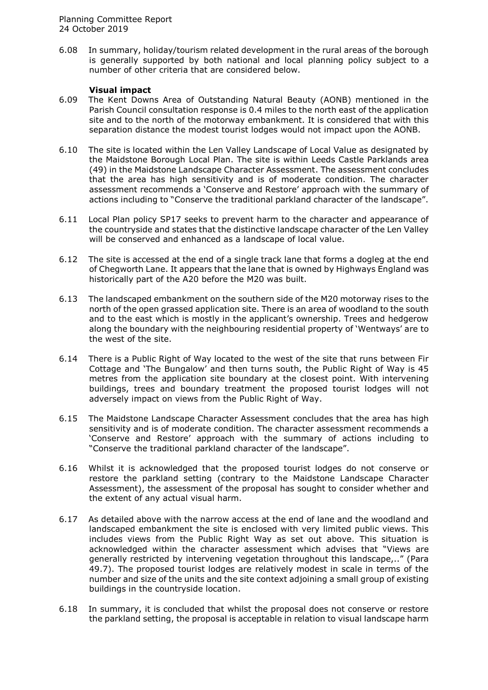6.08 In summary, holiday/tourism related development in the rural areas of the borough is generally supported by both national and local planning policy subject to a number of other criteria that are considered below.

## **Visual impact**

- 6.09 The Kent Downs Area of Outstanding Natural Beauty (AONB) mentioned in the Parish Council consultation response is 0.4 miles to the north east of the application site and to the north of the motorway embankment. It is considered that with this separation distance the modest tourist lodges would not impact upon the AONB.
- 6.10 The site is located within the Len Valley Landscape of Local Value as designated by the Maidstone Borough Local Plan. The site is within Leeds Castle Parklands area (49) in the Maidstone Landscape Character Assessment. The assessment concludes that the area has high sensitivity and is of moderate condition. The character assessment recommends a 'Conserve and Restore' approach with the summary of actions including to "Conserve the traditional parkland character of the landscape".
- 6.11 Local Plan policy SP17 seeks to prevent harm to the character and appearance of the countryside and states that the distinctive landscape character of the Len Valley will be conserved and enhanced as a landscape of local value.
- 6.12 The site is accessed at the end of a single track lane that forms a dogleg at the end of Chegworth Lane. It appears that the lane that is owned by Highways England was historically part of the A20 before the M20 was built.
- 6.13 The landscaped embankment on the southern side of the M20 motorway rises to the north of the open grassed application site. There is an area of woodland to the south and to the east which is mostly in the applicant's ownership. Trees and hedgerow along the boundary with the neighbouring residential property of 'Wentways' are to the west of the site.
- 6.14 There is a Public Right of Way located to the west of the site that runs between Fir Cottage and 'The Bungalow' and then turns south, the Public Right of Way is 45 metres from the application site boundary at the closest point. With intervening buildings, trees and boundary treatment the proposed tourist lodges will not adversely impact on views from the Public Right of Way.
- 6.15 The Maidstone Landscape Character Assessment concludes that the area has high sensitivity and is of moderate condition. The character assessment recommends a 'Conserve and Restore' approach with the summary of actions including to "Conserve the traditional parkland character of the landscape".
- 6.16 Whilst it is acknowledged that the proposed tourist lodges do not conserve or restore the parkland setting (contrary to the Maidstone Landscape Character Assessment), the assessment of the proposal has sought to consider whether and the extent of any actual visual harm.
- 6.17 As detailed above with the narrow access at the end of lane and the woodland and landscaped embankment the site is enclosed with very limited public views. This includes views from the Public Right Way as set out above. This situation is acknowledged within the character assessment which advises that "Views are generally restricted by intervening vegetation throughout this landscape,.." (Para 49.7). The proposed tourist lodges are relatively modest in scale in terms of the number and size of the units and the site context adjoining a small group of existing buildings in the countryside location.
- 6.18 In summary, it is concluded that whilst the proposal does not conserve or restore the parkland setting, the proposal is acceptable in relation to visual landscape harm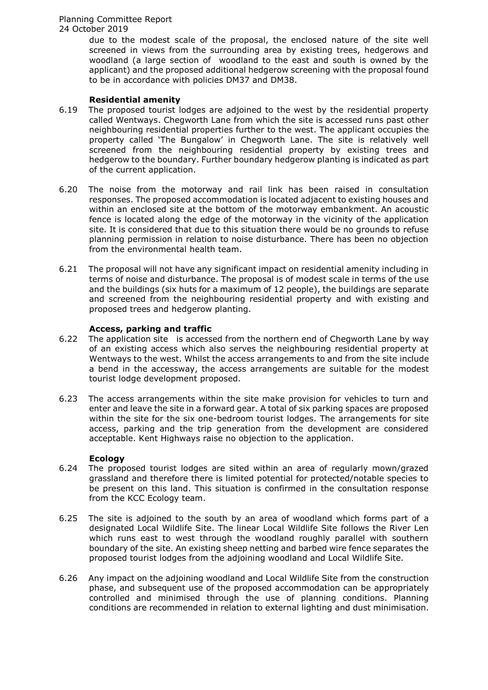> due to the modest scale of the proposal, the enclosed nature of the site well screened in views from the surrounding area by existing trees, hedgerows and woodland (a large section of woodland to the east and south is owned by the applicant) and the proposed additional hedgerow screening with the proposal found to be in accordance with policies DM37 and DM38.

## **Residential amenity**

- 6.19 The proposed tourist lodges are adjoined to the west by the residential property called Wentways. Chegworth Lane from which the site is accessed runs past other neighbouring residential properties further to the west. The applicant occupies the property called 'The Bungalow' in Chegworth Lane. The site is relatively well screened from the neighbouring residential property by existing trees and hedgerow to the boundary. Further boundary hedgerow planting is indicated as part of the current application.
- 6.20 The noise from the motorway and rail link has been raised in consultation responses. The proposed accommodation is located adjacent to existing houses and within an enclosed site at the bottom of the motorway embankment. An acoustic fence is located along the edge of the motorway in the vicinity of the application site. It is considered that due to this situation there would be no grounds to refuse planning permission in relation to noise disturbance. There has been no objection from the environmental health team.
- 6.21 The proposal will not have any significant impact on residential amenity including in terms of noise and disturbance. The proposal is of modest scale in terms of the use and the buildings (six huts for a maximum of 12 people), the buildings are separate and screened from the neighbouring residential property and with existing and proposed trees and hedgerow planting.

## **Access, parking and traffic**

- 6.22 The application site is accessed from the northern end of Chegworth Lane by way of an existing access which also serves the neighbouring residential property at Wentways to the west. Whilst the access arrangements to and from the site include a bend in the accessway, the access arrangements are suitable for the modest tourist lodge development proposed.
- 6.23 The access arrangements within the site make provision for vehicles to turn and enter and leave the site in a forward gear. A total of six parking spaces are proposed within the site for the six one-bedroom tourist lodges. The arrangements for site access, parking and the trip generation from the development are considered acceptable. Kent Highways raise no objection to the application.

## **Ecology**

- 6.24 The proposed tourist lodges are sited within an area of regularly mown/grazed grassland and therefore there is limited potential for protected/notable species to be present on this land. This situation is confirmed in the consultation response from the KCC Ecology team.
- 6.25 The site is adjoined to the south by an area of woodland which forms part of a designated Local Wildlife Site. The linear Local Wildlife Site follows the River Len which runs east to west through the woodland roughly parallel with southern boundary of the site. An existing sheep netting and barbed wire fence separates the proposed tourist lodges from the adjoining woodland and Local Wildlife Site.
- 6.26 Any impact on the adjoining woodland and Local Wildlife Site from the construction phase, and subsequent use of the proposed accommodation can be appropriately controlled and minimised through the use of planning conditions. Planning conditions are recommended in relation to external lighting and dust minimisation.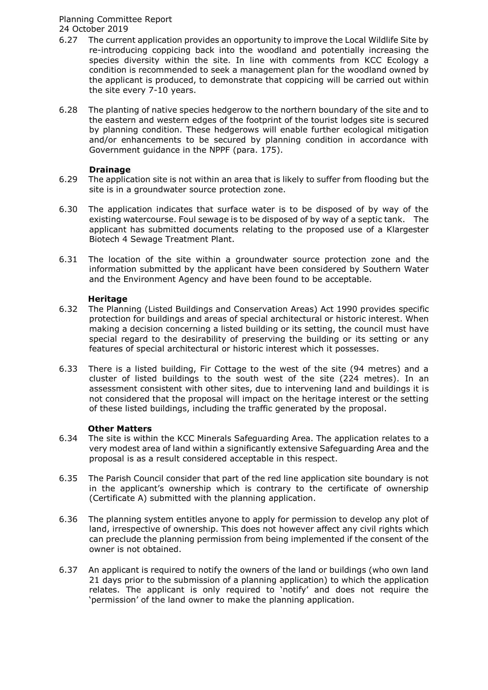- 6.27 The current application provides an opportunity to improve the Local Wildlife Site by re-introducing coppicing back into the woodland and potentially increasing the species diversity within the site. In line with comments from KCC Ecology a condition is recommended to seek a management plan for the woodland owned by the applicant is produced, to demonstrate that coppicing will be carried out within the site every 7-10 years.
- 6.28 The planting of native species hedgerow to the northern boundary of the site and to the eastern and western edges of the footprint of the tourist lodges site is secured by planning condition. These hedgerows will enable further ecological mitigation and/or enhancements to be secured by planning condition in accordance with Government guidance in the NPPF (para. 175).

# **Drainage**

- 6.29 The application site is not within an area that is likely to suffer from flooding but the site is in a groundwater source protection zone.
- 6.30 The application indicates that surface water is to be disposed of by way of the existing watercourse. Foul sewage is to be disposed of by way of a septic tank. The applicant has submitted documents relating to the proposed use of a Klargester Biotech 4 Sewage Treatment Plant.
- 6.31 The location of the site within a groundwater source protection zone and the information submitted by the applicant have been considered by Southern Water and the Environment Agency and have been found to be acceptable.

# **Heritage**

- 6.32 The Planning (Listed Buildings and Conservation Areas) Act 1990 provides specific protection for buildings and areas of special architectural or historic interest. When making a decision concerning a listed building or its setting, the council must have special regard to the desirability of preserving the building or its setting or any features of special architectural or historic interest which it possesses.
- 6.33 There is a listed building, Fir Cottage to the west of the site (94 metres) and a cluster of listed buildings to the south west of the site (224 metres). In an assessment consistent with other sites, due to intervening land and buildings it is not considered that the proposal will impact on the heritage interest or the setting of these listed buildings, including the traffic generated by the proposal.

## **Other Matters**

- 6.34 The site is within the KCC Minerals Safeguarding Area. The application relates to a very modest area of land within a significantly extensive Safeguarding Area and the proposal is as a result considered acceptable in this respect.
- 6.35 The Parish Council consider that part of the red line application site boundary is not in the applicant's ownership which is contrary to the certificate of ownership (Certificate A) submitted with the planning application.
- 6.36 The planning system entitles anyone to apply for permission to develop any plot of land, irrespective of ownership. This does not however affect any civil rights which can preclude the planning permission from being implemented if the consent of the owner is not obtained.
- 6.37 An applicant is required to notify the owners of the land or buildings (who own land 21 days prior to the submission of a planning application) to which the application relates. The applicant is only required to 'notify' and does not require the 'permission' of the land owner to make the planning application.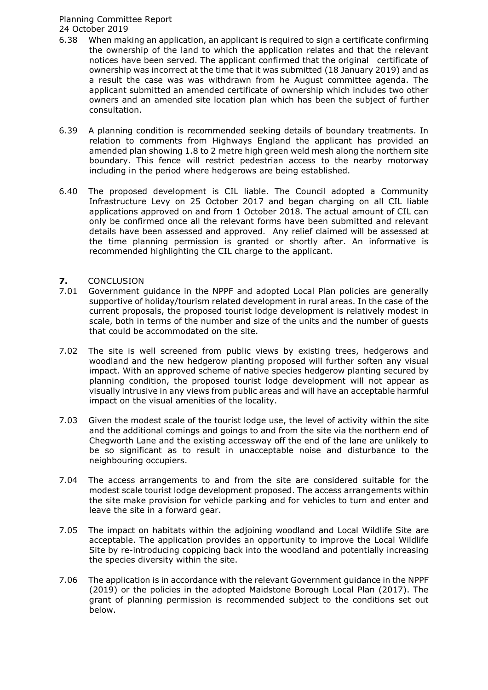- 6.38 When making an application, an applicant is required to sign a certificate confirming the ownership of the land to which the application relates and that the relevant notices have been served. The applicant confirmed that the original certificate of ownership was incorrect at the time that it was submitted (18 January 2019) and as a result the case was was withdrawn from he August committee agenda. The applicant submitted an amended certificate of ownership which includes two other owners and an amended site location plan which has been the subject of further consultation.
- 6.39 A planning condition is recommended seeking details of boundary treatments. In relation to comments from Highways England the applicant has provided an amended plan showing 1.8 to 2 metre high green weld mesh along the northern site boundary. This fence will restrict pedestrian access to the nearby motorway including in the period where hedgerows are being established.
- 6.40 The proposed development is CIL liable. The Council adopted a Community Infrastructure Levy on 25 October 2017 and began charging on all CIL liable applications approved on and from 1 October 2018. The actual amount of CIL can only be confirmed once all the relevant forms have been submitted and relevant details have been assessed and approved. Any relief claimed will be assessed at the time planning permission is granted or shortly after. An informative is recommended highlighting the CIL charge to the applicant.

# **7.** CONCLUSION<br>7.01 Government of

- Government guidance in the NPPF and adopted Local Plan policies are generally supportive of holiday/tourism related development in rural areas. In the case of the current proposals, the proposed tourist lodge development is relatively modest in scale, both in terms of the number and size of the units and the number of guests that could be accommodated on the site.
- 7.02 The site is well screened from public views by existing trees, hedgerows and woodland and the new hedgerow planting proposed will further soften any visual impact. With an approved scheme of native species hedgerow planting secured by planning condition, the proposed tourist lodge development will not appear as visually intrusive in any views from public areas and will have an acceptable harmful impact on the visual amenities of the locality.
- 7.03 Given the modest scale of the tourist lodge use, the level of activity within the site and the additional comings and goings to and from the site via the northern end of Chegworth Lane and the existing accessway off the end of the lane are unlikely to be so significant as to result in unacceptable noise and disturbance to the neighbouring occupiers.
- 7.04 The access arrangements to and from the site are considered suitable for the modest scale tourist lodge development proposed. The access arrangements within the site make provision for vehicle parking and for vehicles to turn and enter and leave the site in a forward gear.
- 7.05 The impact on habitats within the adjoining woodland and Local Wildlife Site are acceptable. The application provides an opportunity to improve the Local Wildlife Site by re-introducing coppicing back into the woodland and potentially increasing the species diversity within the site.
- 7.06 The application is in accordance with the relevant Government guidance in the NPPF (2019) or the policies in the adopted Maidstone Borough Local Plan (2017). The grant of planning permission is recommended subject to the conditions set out below.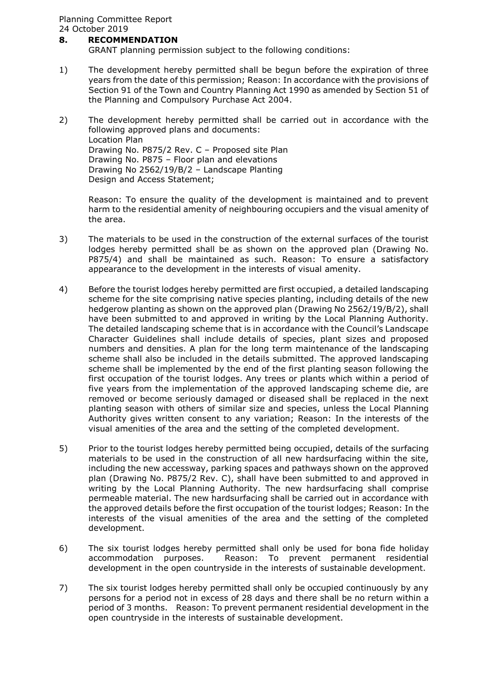# **8. RECOMMENDATION**

GRANT planning permission subject to the following conditions:

- 1) The development hereby permitted shall be begun before the expiration of three years from the date of this permission; Reason: In accordance with the provisions of Section 91 of the Town and Country Planning Act 1990 as amended by Section 51 of the Planning and Compulsory Purchase Act 2004.
- 2) The development hereby permitted shall be carried out in accordance with the following approved plans and documents: Location Plan Drawing No. P875/2 Rev. C – Proposed site Plan Drawing No. P875 – Floor plan and elevations Drawing No 2562/19/B/2 – Landscape Planting Design and Access Statement;

Reason: To ensure the quality of the development is maintained and to prevent harm to the residential amenity of neighbouring occupiers and the visual amenity of the area.

- 3) The materials to be used in the construction of the external surfaces of the tourist lodges hereby permitted shall be as shown on the approved plan (Drawing No. P875/4) and shall be maintained as such. Reason: To ensure a satisfactory appearance to the development in the interests of visual amenity.
- 4) Before the tourist lodges hereby permitted are first occupied, a detailed landscaping scheme for the site comprising native species planting, including details of the new hedgerow planting as shown on the approved plan (Drawing No 2562/19/B/2), shall have been submitted to and approved in writing by the Local Planning Authority. The detailed landscaping scheme that is in accordance with the Council's Landscape Character Guidelines shall include details of species, plant sizes and proposed numbers and densities. A plan for the long term maintenance of the landscaping scheme shall also be included in the details submitted. The approved landscaping scheme shall be implemented by the end of the first planting season following the first occupation of the tourist lodges. Any trees or plants which within a period of five years from the implementation of the approved landscaping scheme die, are removed or become seriously damaged or diseased shall be replaced in the next planting season with others of similar size and species, unless the Local Planning Authority gives written consent to any variation; Reason: In the interests of the visual amenities of the area and the setting of the completed development.
- 5) Prior to the tourist lodges hereby permitted being occupied, details of the surfacing materials to be used in the construction of all new hardsurfacing within the site, including the new accessway, parking spaces and pathways shown on the approved plan (Drawing No. P875/2 Rev. C), shall have been submitted to and approved in writing by the Local Planning Authority. The new hardsurfacing shall comprise permeable material. The new hardsurfacing shall be carried out in accordance with the approved details before the first occupation of the tourist lodges; Reason: In the interests of the visual amenities of the area and the setting of the completed development.
- 6) The six tourist lodges hereby permitted shall only be used for bona fide holiday accommodation purposes. Reason: To prevent permanent residential development in the open countryside in the interests of sustainable development.
- 7) The six tourist lodges hereby permitted shall only be occupied continuously by any persons for a period not in excess of 28 days and there shall be no return within a period of 3 months. Reason: To prevent permanent residential development in the open countryside in the interests of sustainable development.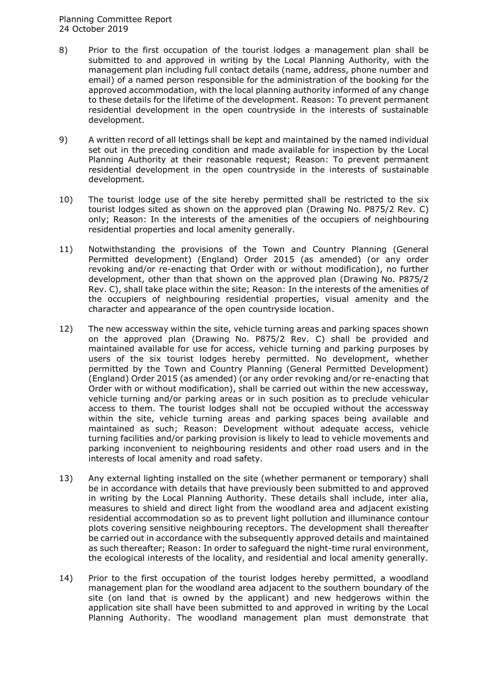- 8) Prior to the first occupation of the tourist lodges a management plan shall be submitted to and approved in writing by the Local Planning Authority, with the management plan including full contact details (name, address, phone number and email) of a named person responsible for the administration of the booking for the approved accommodation, with the local planning authority informed of any change to these details for the lifetime of the development. Reason: To prevent permanent residential development in the open countryside in the interests of sustainable development.
- 9) A written record of all lettings shall be kept and maintained by the named individual set out in the preceding condition and made available for inspection by the Local Planning Authority at their reasonable request; Reason: To prevent permanent residential development in the open countryside in the interests of sustainable development.
- 10) The tourist lodge use of the site hereby permitted shall be restricted to the six tourist lodges sited as shown on the approved plan (Drawing No. P875/2 Rev. C) only; Reason: In the interests of the amenities of the occupiers of neighbouring residential properties and local amenity generally.
- 11) Notwithstanding the provisions of the Town and Country Planning (General Permitted development) (England) Order 2015 (as amended) (or any order revoking and/or re-enacting that Order with or without modification), no further development, other than that shown on the approved plan (Drawing No. P875/2 Rev. C), shall take place within the site; Reason: In the interests of the amenities of the occupiers of neighbouring residential properties, visual amenity and the character and appearance of the open countryside location.
- 12) The new accessway within the site, vehicle turning areas and parking spaces shown on the approved plan (Drawing No. P875/2 Rev. C) shall be provided and maintained available for use for access, vehicle turning and parking purposes by users of the six tourist lodges hereby permitted. No development, whether permitted by the Town and Country Planning (General Permitted Development) (England) Order 2015 (as amended) (or any order revoking and/or re-enacting that Order with or without modification), shall be carried out within the new accessway, vehicle turning and/or parking areas or in such position as to preclude vehicular access to them. The tourist lodges shall not be occupied without the accessway within the site, vehicle turning areas and parking spaces being available and maintained as such; Reason: Development without adequate access, vehicle turning facilities and/or parking provision is likely to lead to vehicle movements and parking inconvenient to neighbouring residents and other road users and in the interests of local amenity and road safety.
- 13) Any external lighting installed on the site (whether permanent or temporary) shall be in accordance with details that have previously been submitted to and approved in writing by the Local Planning Authority. These details shall include, inter alia, measures to shield and direct light from the woodland area and adjacent existing residential accommodation so as to prevent light pollution and illuminance contour plots covering sensitive neighbouring receptors. The development shall thereafter be carried out in accordance with the subsequently approved details and maintained as such thereafter; Reason: In order to safeguard the night-time rural environment, the ecological interests of the locality, and residential and local amenity generally.
- 14) Prior to the first occupation of the tourist lodges hereby permitted, a woodland management plan for the woodland area adjacent to the southern boundary of the site (on land that is owned by the applicant) and new hedgerows within the application site shall have been submitted to and approved in writing by the Local Planning Authority. The woodland management plan must demonstrate that